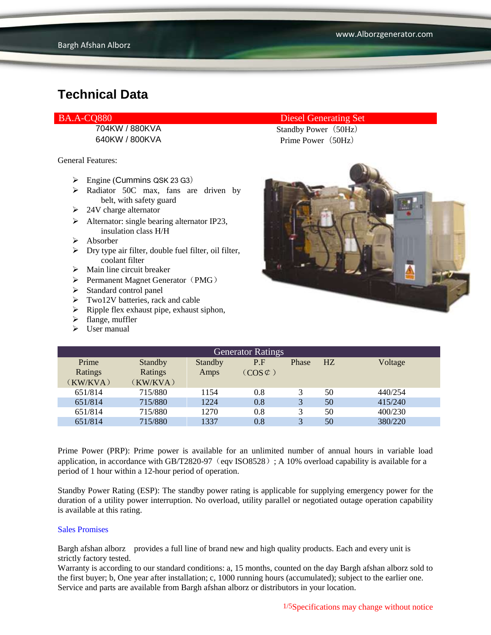General Features:

- $\triangleright$  Engine (Cummins QSK 23 G3)
- $\triangleright$  Radiator 50C max, fans are driven by belt, with safety guard
- $\geq$  24V charge alternator
- $\triangleright$  Alternator: single bearing alternator IP23, insulation class H/H
- $\triangleright$  Absorber
- $\triangleright$  Dry type air filter, double fuel filter, oil filter, coolant filter
- $\triangleright$  Main line circuit breaker
- $\triangleright$  Permanent Magnet Generator (PMG)
- > Standard control panel
- > Two12V batteries, rack and cable
- $\triangleright$  Ripple flex exhaust pipe, exhaust siphon,
- $\blacktriangleright$  flange, muffler
- $\triangleright$  User manual

#### BA.A-CQ880 Diesel Generating Set

704KW / 880KVA Standby Power (50Hz) 640KW / 800KVA Prime Power (50Hz)



| <b>Generator Ratings</b> |          |         |                     |       |    |         |
|--------------------------|----------|---------|---------------------|-------|----|---------|
| Prime                    | Standby  | Standby | P.F                 | Phase | HZ | Voltage |
| Ratings                  | Ratings  | Amps    | $(COS \mathcal{L})$ |       |    |         |
| (KW/KVA)                 | (KW/KVA) |         |                     |       |    |         |
| 651/814                  | 715/880  | 1154    | 0.8                 |       | 50 | 440/254 |
| 651/814                  | 715/880  | 1224    | 0.8                 | 3     | 50 | 415/240 |
| 651/814                  | 715/880  | 1270    | 0.8                 | 3     | 50 | 400/230 |
| 651/814                  | 715/880  | 1337    | 0.8                 | 3     | 50 | 380/220 |

Prime Power (PRP): Prime power is available for an unlimited number of annual hours in variable load application, in accordance with GB/T2820-97 (eqv ISO8528); A 10% overload capability is available for a period of 1 hour within a 12-hour period of operation.

Standby Power Rating (ESP): The standby power rating is applicable for supplying emergency power for the duration of a utility power interruption. No overload, utility parallel or negotiated outage operation capability is available at this rating.

#### Sales Promises

Bargh afshan alborz provides a full line of brand new and high quality products. Each and every unit is strictly factory tested.

Warranty is according to our standard conditions: a, 15 months, counted on the day Bargh afshan alborz sold to the first buyer; b, One year after installation; c, 1000 running hours (accumulated); subject to the earlier one. Service and parts are available from Bargh afshan alborz or distributors in your location.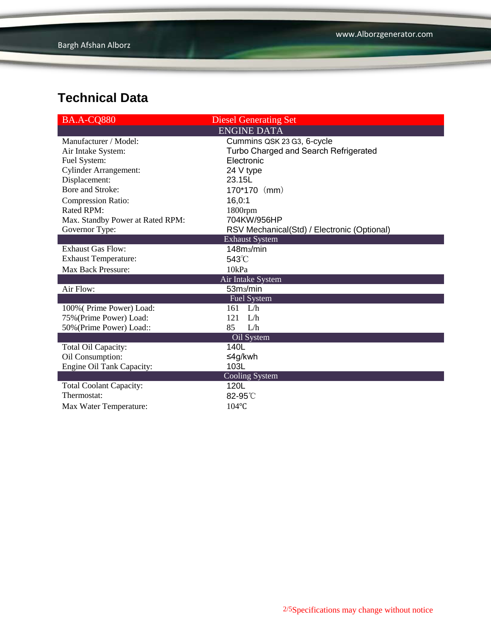| <b>BA.A-CQ880</b>                | <b>Diesel Generating Set</b>                |
|----------------------------------|---------------------------------------------|
|                                  | <b>ENGINE DATA</b>                          |
| Manufacturer / Model:            | Cummins QSK 23 G3, 6-cycle                  |
| Air Intake System:               | Turbo Charged and Search Refrigerated       |
| Fuel System:                     | Electronic                                  |
| <b>Cylinder Arrangement:</b>     | 24 V type                                   |
| Displacement:                    | 23.15L                                      |
| Bore and Stroke:                 | 170*170 (mm)                                |
| <b>Compression Ratio:</b>        | 16,0:1                                      |
| Rated RPM:                       | $1800$ rpm                                  |
| Max. Standby Power at Rated RPM: | 704KW/956HP                                 |
| Governor Type:                   | RSV Mechanical(Std) / Electronic (Optional) |
|                                  | <b>Exhaust System</b>                       |
| <b>Exhaust Gas Flow:</b>         | 148m <sub>3</sub> /min                      |
| <b>Exhaust Temperature:</b>      | $543^{\circ}$ C                             |
| <b>Max Back Pressure:</b>        | 10kPa                                       |
|                                  | Air Intake System                           |
| Air Flow:                        | 53m <sub>3</sub> /min                       |
|                                  | Fuel System                                 |
| 100% (Prime Power) Load:         | $161$ L/h                                   |
| 75% (Prime Power) Load:          | L/h<br>121                                  |
| 50% (Prime Power) Load::         | 85<br>L/h                                   |
|                                  | Oil System                                  |
| Total Oil Capacity:              | 140L                                        |
| Oil Consumption:                 | ≤4g/kwh                                     |
| <b>Engine Oil Tank Capacity:</b> | 103L                                        |
|                                  | <b>Cooling System</b>                       |
| <b>Total Coolant Capacity:</b>   | 120L                                        |
| Thermostat:                      | 82-95°C                                     |
| Max Water Temperature:           | 104°C                                       |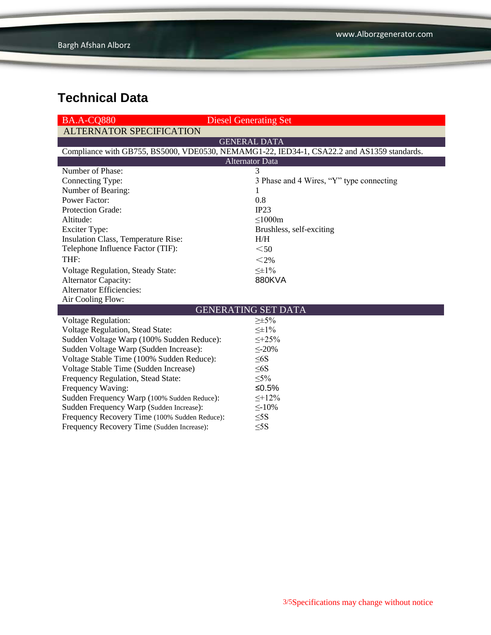| <b>BA.A-CO880</b>                                                                          | <b>Diesel Generating Set</b>             |  |  |  |  |  |
|--------------------------------------------------------------------------------------------|------------------------------------------|--|--|--|--|--|
| <b>ALTERNATOR SPECIFICATION</b>                                                            |                                          |  |  |  |  |  |
|                                                                                            | <b>GENERAL DATA</b>                      |  |  |  |  |  |
| Compliance with GB755, BS5000, VDE0530, NEMAMG1-22, IED34-1, CSA22.2 and AS1359 standards. |                                          |  |  |  |  |  |
| <b>Alternator Data</b>                                                                     |                                          |  |  |  |  |  |
| Number of Phase:                                                                           | 3                                        |  |  |  |  |  |
| Connecting Type:                                                                           | 3 Phase and 4 Wires, "Y" type connecting |  |  |  |  |  |
| Number of Bearing:                                                                         | 1                                        |  |  |  |  |  |
| <b>Power Factor:</b>                                                                       | 0.8                                      |  |  |  |  |  |
| Protection Grade:                                                                          | IP23                                     |  |  |  |  |  |
| Altitude:                                                                                  | $\leq 1000m$                             |  |  |  |  |  |
| <b>Exciter Type:</b>                                                                       | Brushless, self-exciting                 |  |  |  |  |  |
| Insulation Class, Temperature Rise:                                                        | H/H                                      |  |  |  |  |  |
| Telephone Influence Factor (TIF):                                                          | $50$                                     |  |  |  |  |  |
| THF:                                                                                       | $<$ 2%                                   |  |  |  |  |  |
| <b>Voltage Regulation, Steady State:</b>                                                   | $\leq \pm 1\%$                           |  |  |  |  |  |
| Alternator Capacity:                                                                       | 880KVA                                   |  |  |  |  |  |
| <b>Alternator Efficiencies:</b>                                                            |                                          |  |  |  |  |  |
| Air Cooling Flow:                                                                          |                                          |  |  |  |  |  |
| <b>GENERATING SET DATA</b>                                                                 |                                          |  |  |  |  |  |
| <b>Voltage Regulation:</b>                                                                 | $\geq \pm 5\%$                           |  |  |  |  |  |
| Voltage Regulation, Stead State:                                                           | $\leq \pm 1\%$                           |  |  |  |  |  |
| Sudden Voltage Warp (100% Sudden Reduce):                                                  | $\leq +25\%$                             |  |  |  |  |  |
| Sudden Voltage Warp (Sudden Increase):                                                     | $\leq$ -20%                              |  |  |  |  |  |
| Voltage Stable Time (100% Sudden Reduce):                                                  | $\leq 6S$                                |  |  |  |  |  |
| Voltage Stable Time (Sudden Increase)                                                      | $\leq 6S$                                |  |  |  |  |  |
| Frequency Regulation, Stead State:                                                         | $\leq 5\%$                               |  |  |  |  |  |
| Frequency Waving:                                                                          | ≤0.5%                                    |  |  |  |  |  |
| Sudden Frequency Warp (100% Sudden Reduce):                                                | $\leq +12\%$                             |  |  |  |  |  |
| Sudden Frequency Warp (Sudden Increase):                                                   | $\leq$ -10%                              |  |  |  |  |  |
| Frequency Recovery Time (100% Sudden Reduce):                                              | $\leq$ 5S                                |  |  |  |  |  |
| Frequency Recovery Time (Sudden Increase):                                                 | $\leq$ 5S                                |  |  |  |  |  |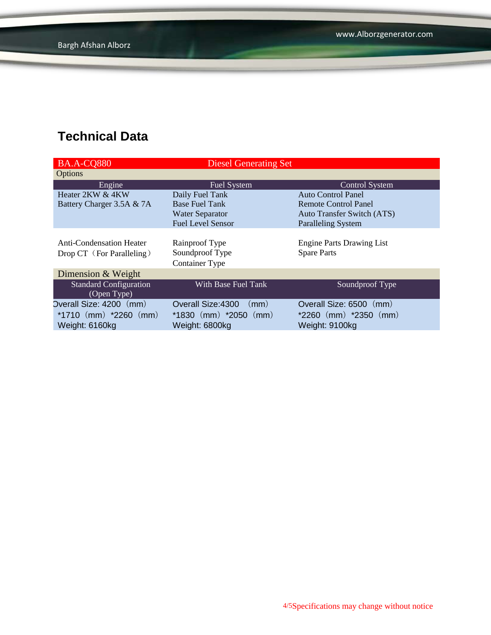| <b>BA.A-CQ880</b>               | <b>Diesel Generating Set</b> |                                   |
|---------------------------------|------------------------------|-----------------------------------|
| Options                         |                              |                                   |
| Engine                          | Fuel System                  | <b>Control System</b>             |
| Heater 2KW & 4KW                | Daily Fuel Tank              | <b>Auto Control Panel</b>         |
| Battery Charger 3.5A & 7A       | <b>Base Fuel Tank</b>        | Remote Control Panel              |
|                                 | <b>Water Separator</b>       | <b>Auto Transfer Switch (ATS)</b> |
|                                 | <b>Fuel Level Sensor</b>     | <b>Paralleling System</b>         |
|                                 |                              |                                   |
| <b>Anti-Condensation Heater</b> | Rainproof Type               | <b>Engine Parts Drawing List</b>  |
| Drop CT (For Paralleling)       | Soundproof Type              | <b>Spare Parts</b>                |
|                                 | <b>Container Type</b>        |                                   |
| Dimension & Weight              |                              |                                   |
| <b>Standard Configuration</b>   | With Base Fuel Tank          | Soundproof Type                   |
| (Open Type)                     |                              |                                   |
| Overall Size: 4200 (mm)         | Overall Size: 4300<br>(mm)   | Overall Size: 6500 (mm)           |
| *1710 $(mm)$ *2260 $(mm)$       | $*1830$ (mm) $*2050$ (mm)    | $*2260$ (mm) $*2350$ (mm)         |
| Weight: 6160kg                  | Weight: 6800kg               | Weight: 9100kg                    |